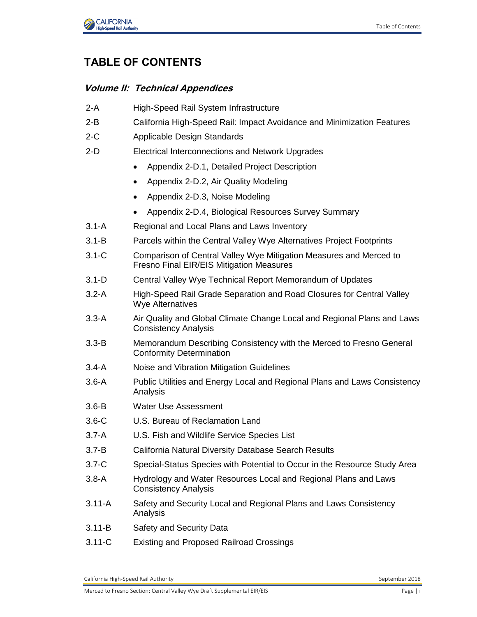

## **TABLE OF CONTENTS**

## **Volume II: Technical Appendices**

2-A High-Speed Rail System Infrastructure 2-B California High-Speed Rail: Impact Avoidance and Minimization Features 2-C Applicable Design Standards 2-D Electrical Interconnections and Network Upgrades Appendix 2-D.1, Detailed Project Description Appendix 2-D.2, Air Quality Modeling • Appendix 2-D.3, Noise Modeling Appendix 2-D.4, Biological Resources Survey Summary 3.1-A Regional and Local Plans and Laws Inventory 3.1-B Parcels within the Central Valley Wye Alternatives Project Footprints 3.1-C Comparison of Central Valley Wye Mitigation Measures and Merced to Fresno Final EIR/EIS Mitigation Measures 3.1-D Central Valley Wye Technical Report Memorandum of Updates 3.2-A High-Speed Rail Grade Separation and Road Closures for Central Valley Wye Alternatives 3.3-A Air Quality and Global Climate Change Local and Regional Plans and Laws Consistency Analysis 3.3-B Memorandum Describing Consistency with the Merced to Fresno General Conformity Determination 3.4-A Noise and Vibration Mitigation Guidelines 3.6-A Public Utilities and Energy Local and Regional Plans and Laws Consistency Analysis 3.6-B Water Use Assessment 3.6-C U.S. Bureau of Reclamation Land 3.7-A U.S. Fish and Wildlife Service Species List 3.7-B California Natural Diversity Database Search Results 3.7-C Special-Status Species with Potential to Occur in the Resource Study Area 3.8-A Hydrology and Water Resources Local and Regional Plans and Laws Consistency Analysis 3.11-A Safety and Security Local and Regional Plans and Laws Consistency Analysis 3.11-B Safety and Security Data 3.11-C Existing and Proposed Railroad Crossings